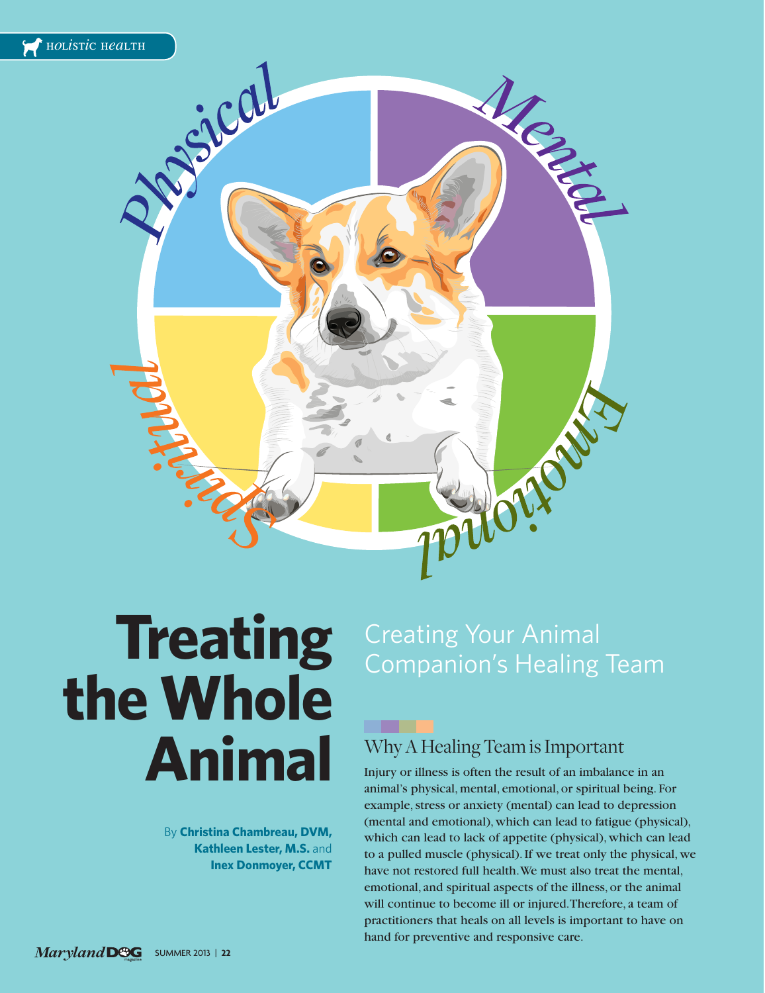

**The Contract State** 

# **the Whole Animal**

By **Christina Chambreau, DVM, Kathleen Lester, M.S.** and **Inex Donmoyer, CCMT**

# **Treating** Creating Your Animal

#### Why A Healing Team is Important

Injury or illness is often the result of an imbalance in an animal's physical, mental, emotional, or spiritual being. For example, stress or anxiety (mental) can lead to depression (mental and emotional), which can lead to fatigue (physical), which can lead to lack of appetite (physical), which can lead to a pulled muscle (physical). If we treat only the physical, we have not restored full health. We must also treat the mental, emotional, and spiritual aspects of the illness, or the animal will continue to become ill or injured. Therefore, a team of practitioners that heals on all levels is important to have on hand for preventive and responsive care.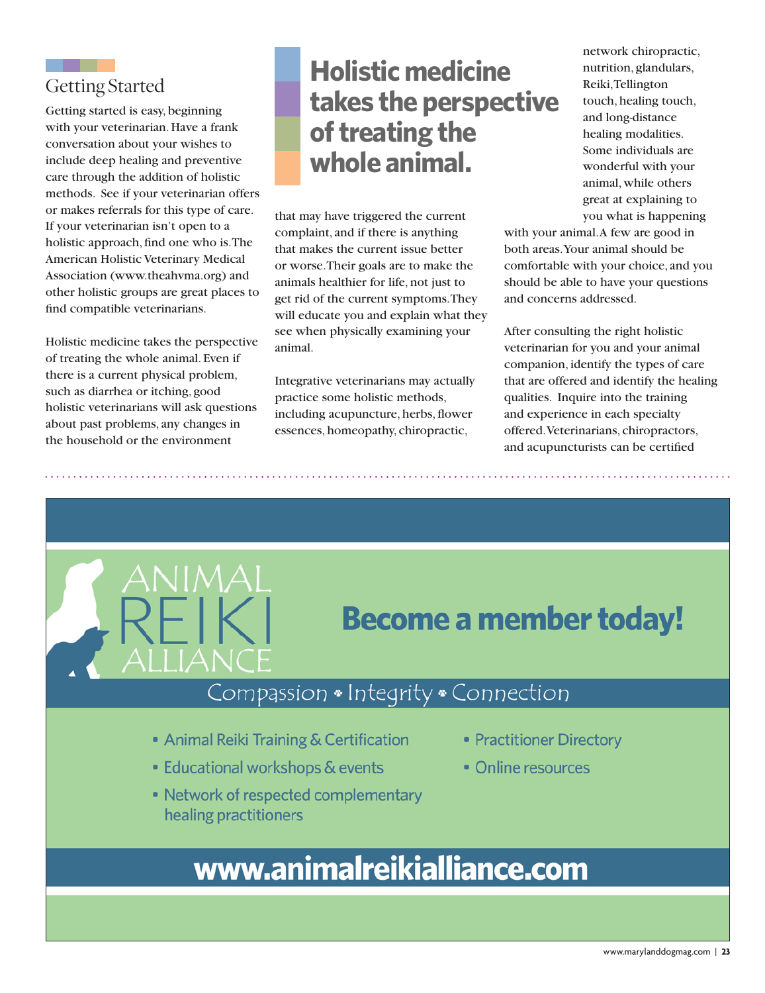### Getting Started

Getting started is easy, beginning with your veterinarian. Have a frank conversation about your wishes to include deep healing and preventive care through the addition of holistic methods. See if your veterinarian offers or makes referrals for this type of care. If your veterinarian isn't open to a holistic approach, find one who is. The American Holistic Veterinary Medical Association (www.theahvma.org) and other holistic groups are great places to find compatible veterinarians.

Holistic medicine takes the perspective of treating the whole animal. Even if there is a current physical problem, such as diarrhea or itching, good holistic veterinarians will ask questions about past problems, any changes in the household or the environment

AIIIAN

# **Holistic medicine takes the perspective of treating the whole animal.**

that may have triggered the current complaint, and if there is anything that makes the current issue better or worse. Their goals are to make the animals healthier for life, not just to get rid of the current symptoms. They will educate you and explain what they see when physically examining your animal.

Integrative veterinarians may actually practice some holistic methods, including acupuncture, herbs, flower essences, homeopathy, chiropractic,

network chiropractic, nutrition, glandulars, Reiki, Tellington touch, healing touch, and long-distance healing modalities. Some individuals are wonderful with your animal, while others great at explaining to you what is happening

with your animal. A few are good in both areas. Your animal should be comfortable with your choice, and you should be able to have your questions and concerns addressed.

After consulting the right holistic veterinarian for you and your animal companion, identify the types of care that are offered and identify the healing qualities. Inquire into the training and experience in each specialty offered. Veterinarians, chiropractors, and acupuncturists can be certified

# **Become a member today!**

## Compassion . Integrity . Connection

- Animal Reiki Training & Certification
- Educational workshops & events
- Network of respected complementary healing practitioners
- Practitioner Directory
- Online resources

# www.animalreikialliance.com